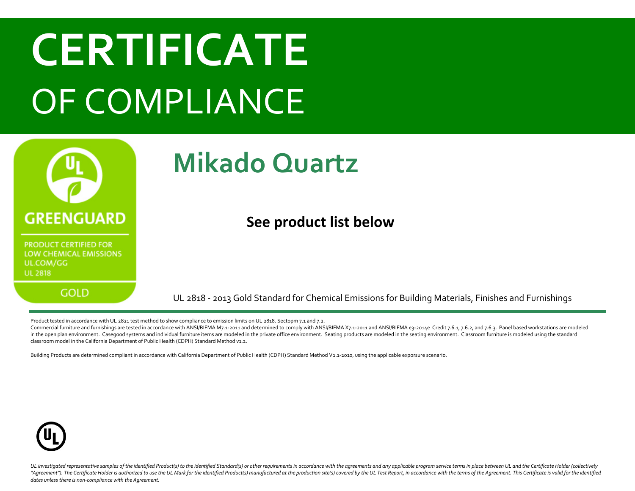

UL 2818 - 2013 Gold Standard for Chemical Emissions for Building Materials, Finishes and Furnishings

Product tested in accordance with UL 2821 test method to show compliance to emission limits on UL 2818. Sectopm 7.1 and 7.2.

Commercial furniture and furnishings are tested in accordance with ANSI/BIFMA M7.1-2011 and determined to comply with ANSI/BIFMA X7.1-2011 and ANSI/BIFMA e3-2014e Credit 7.6.1, 7.6.2, and 7.6.3. Panel based workstations ar in the open plan environment. Casegood systems and individual furniture items are modeled in the private office environment. Seating products are modeled in the seating environment. Classroom furniture is modeled using the classroom model in the California Department of Public Health (CDPH) Standard Method v1.2.

Building Products are determined compliant in accordance with California Department of Public Health (CDPH) Standard Method V1.1-2010, using the applicable exporsure scenario.

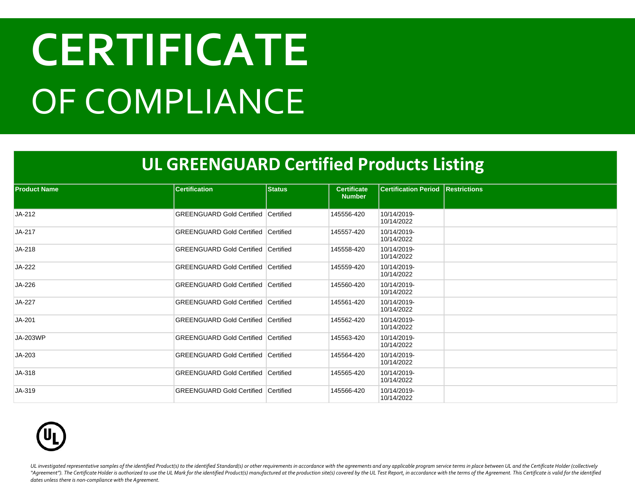#### **UL GREENGUARD Certified Products Listing**

| <b>Product Name</b> | <b>Certification</b>                       | <b>Status</b> | <b>Certificate</b><br><b>Number</b> | <b>Certification Period Restrictions</b> |  |
|---------------------|--------------------------------------------|---------------|-------------------------------------|------------------------------------------|--|
| JA-212              | <b>GREENGUARD Gold Certified Certified</b> |               | 145556-420                          | 10/14/2019-<br>10/14/2022                |  |
| JA-217              | <b>GREENGUARD Gold Certified Certified</b> |               | 145557-420                          | 10/14/2019-<br>10/14/2022                |  |
| JA-218              | <b>GREENGUARD Gold Certified Certified</b> |               | 145558-420                          | 10/14/2019-<br>10/14/2022                |  |
| JA-222              | <b>GREENGUARD Gold Certified Certified</b> |               | 145559-420                          | 10/14/2019-<br>10/14/2022                |  |
| JA-226              | <b>GREENGUARD Gold Certified Certified</b> |               | 145560-420                          | 10/14/2019-<br>10/14/2022                |  |
| JA-227              | <b>GREENGUARD Gold Certified Certified</b> |               | 145561-420                          | 10/14/2019-<br>10/14/2022                |  |
| JA-201              | <b>GREENGUARD Gold Certified Certified</b> |               | 145562-420                          | 10/14/2019-<br>10/14/2022                |  |
| JA-203WP            | <b>GREENGUARD Gold Certified Certified</b> |               | 145563-420                          | 10/14/2019-<br>10/14/2022                |  |
| JA-203              | <b>GREENGUARD Gold Certified Certified</b> |               | 145564-420                          | 10/14/2019-<br>10/14/2022                |  |
| JA-318              | <b>GREENGUARD Gold Certified Certified</b> |               | 145565-420                          | 10/14/2019-<br>10/14/2022                |  |
| JA-319              | <b>GREENGUARD Gold Certified Certified</b> |               | 145566-420                          | 10/14/2019-<br>10/14/2022                |  |

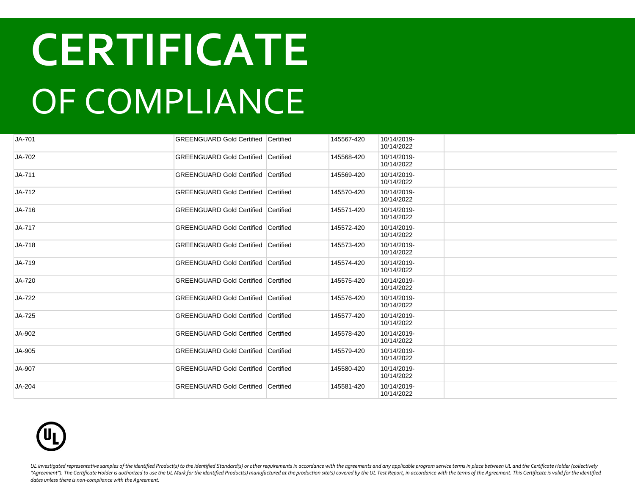| JA-701 | <b>GREENGUARD Gold Certified Certified</b> | 145567-420 | 10/14/2019-<br>10/14/2022 |  |
|--------|--------------------------------------------|------------|---------------------------|--|
| JA-702 | <b>GREENGUARD Gold Certified Certified</b> | 145568-420 | 10/14/2019-<br>10/14/2022 |  |
| JA-711 | <b>GREENGUARD Gold Certified Certified</b> | 145569-420 | 10/14/2019-<br>10/14/2022 |  |
| JA-712 | <b>GREENGUARD Gold Certified Certified</b> | 145570-420 | 10/14/2019-<br>10/14/2022 |  |
| JA-716 | <b>GREENGUARD Gold Certified Certified</b> | 145571-420 | 10/14/2019-<br>10/14/2022 |  |
| JA-717 | <b>GREENGUARD Gold Certified Certified</b> | 145572-420 | 10/14/2019-<br>10/14/2022 |  |
| JA-718 | <b>GREENGUARD Gold Certified Certified</b> | 145573-420 | 10/14/2019-<br>10/14/2022 |  |
| JA-719 | <b>GREENGUARD Gold Certified Certified</b> | 145574-420 | 10/14/2019-<br>10/14/2022 |  |
| JA-720 | <b>GREENGUARD Gold Certified Certified</b> | 145575-420 | 10/14/2019-<br>10/14/2022 |  |
| JA-722 | <b>GREENGUARD Gold Certified Certified</b> | 145576-420 | 10/14/2019-<br>10/14/2022 |  |
| JA-725 | <b>GREENGUARD Gold Certified Certified</b> | 145577-420 | 10/14/2019-<br>10/14/2022 |  |
| JA-902 | <b>GREENGUARD Gold Certified Certified</b> | 145578-420 | 10/14/2019-<br>10/14/2022 |  |
| JA-905 | <b>GREENGUARD Gold Certified Certified</b> | 145579-420 | 10/14/2019-<br>10/14/2022 |  |
| JA-907 | <b>GREENGUARD Gold Certified Certified</b> | 145580-420 | 10/14/2019-<br>10/14/2022 |  |
| JA-204 | <b>GREENGUARD Gold Certified Certified</b> | 145581-420 | 10/14/2019-<br>10/14/2022 |  |